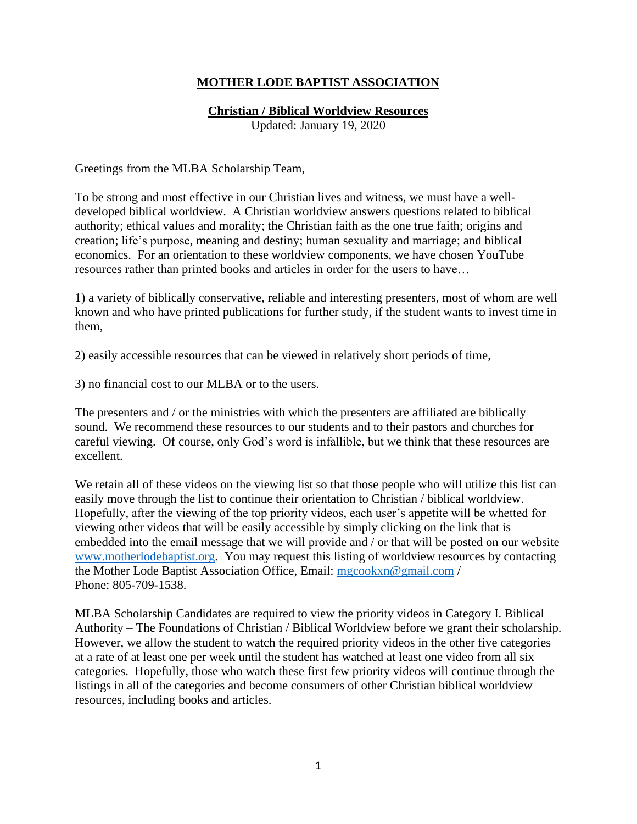## **MOTHER LODE BAPTIST ASSOCIATION**

### **Christian / Biblical Worldview Resources**

Updated: January 19, 2020

Greetings from the MLBA Scholarship Team,

To be strong and most effective in our Christian lives and witness, we must have a welldeveloped biblical worldview. A Christian worldview answers questions related to biblical authority; ethical values and morality; the Christian faith as the one true faith; origins and creation; life's purpose, meaning and destiny; human sexuality and marriage; and biblical economics. For an orientation to these worldview components, we have chosen YouTube resources rather than printed books and articles in order for the users to have…

1) a variety of biblically conservative, reliable and interesting presenters, most of whom are well known and who have printed publications for further study, if the student wants to invest time in them,

2) easily accessible resources that can be viewed in relatively short periods of time,

3) no financial cost to our MLBA or to the users.

The presenters and / or the ministries with which the presenters are affiliated are biblically sound. We recommend these resources to our students and to their pastors and churches for careful viewing. Of course, only God's word is infallible, but we think that these resources are excellent.

We retain all of these videos on the viewing list so that those people who will utilize this list can easily move through the list to continue their orientation to Christian / biblical worldview. Hopefully, after the viewing of the top priority videos, each user's appetite will be whetted for viewing other videos that will be easily accessible by simply clicking on the link that is embedded into the email message that we will provide and / or that will be posted on our website [www.motherlodebaptist.org.](http://www.motherlodebaptist.org/) You may request this listing of worldview resources by contacting the Mother Lode Baptist Association Office, Email: [mgcookxn@gmail.com](mailto:mgcookxn@gmail.com) / Phone: 805-709-1538.

MLBA Scholarship Candidates are required to view the priority videos in Category I. Biblical Authority – The Foundations of Christian / Biblical Worldview before we grant their scholarship. However, we allow the student to watch the required priority videos in the other five categories at a rate of at least one per week until the student has watched at least one video from all six categories. Hopefully, those who watch these first few priority videos will continue through the listings in all of the categories and become consumers of other Christian biblical worldview resources, including books and articles.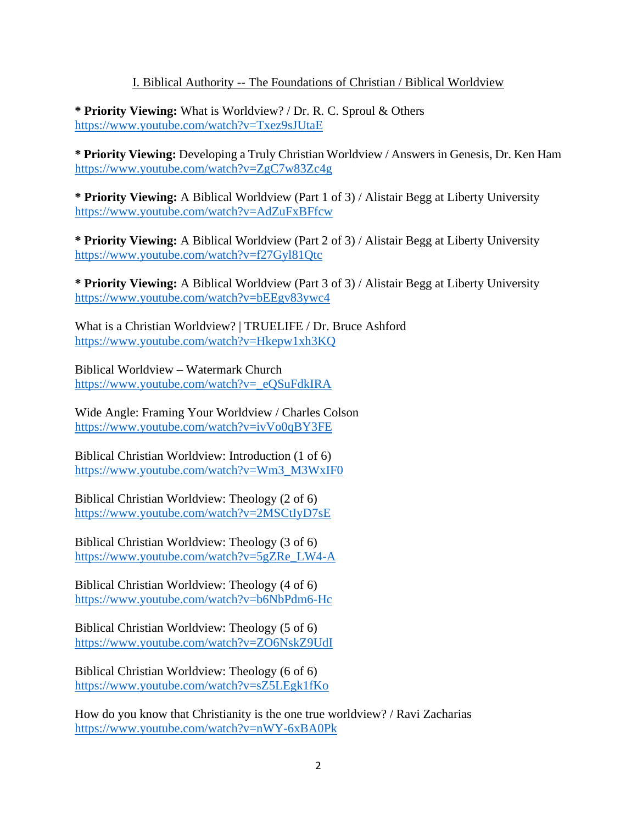#### I. Biblical Authority -- The Foundations of Christian / Biblical Worldview

**\* Priority Viewing:** What is Worldview? / Dr. R. C. Sproul & Others <https://www.youtube.com/watch?v=Txez9sJUtaE>

**\* Priority Viewing:** Developing a Truly Christian Worldview / Answers in Genesis, Dr. Ken Ham <https://www.youtube.com/watch?v=ZgC7w83Zc4g>

**\* Priority Viewing:** A Biblical Worldview (Part 1 of 3) / Alistair Begg at Liberty University <https://www.youtube.com/watch?v=AdZuFxBFfcw>

**\* Priority Viewing:** A Biblical Worldview (Part 2 of 3) / Alistair Begg at Liberty University <https://www.youtube.com/watch?v=f27Gyl81Qtc>

**\* Priority Viewing:** A Biblical Worldview (Part 3 of 3) / Alistair Begg at Liberty University <https://www.youtube.com/watch?v=bEEgv83ywc4>

What is a Christian Worldview? | TRUELIFE / Dr. Bruce Ashford <https://www.youtube.com/watch?v=Hkepw1xh3KQ>

Biblical Worldview – Watermark Church [https://www.youtube.com/watch?v=\\_eQSuFdkIRA](https://www.youtube.com/watch?v=_eQSuFdkIRA)

Wide Angle: Framing Your Worldview / Charles Colson <https://www.youtube.com/watch?v=ivVo0qBY3FE>

Biblical Christian Worldview: Introduction (1 of 6) [https://www.youtube.com/watch?v=Wm3\\_M3WxIF0](https://www.youtube.com/watch?v=Wm3_M3WxIF0)

Biblical Christian Worldview: Theology (2 of 6) <https://www.youtube.com/watch?v=2MSCtIyD7sE>

Biblical Christian Worldview: Theology (3 of 6) [https://www.youtube.com/watch?v=5gZRe\\_LW4-A](https://www.youtube.com/watch?v=5gZRe_LW4-A)

Biblical Christian Worldview: Theology (4 of 6) <https://www.youtube.com/watch?v=b6NbPdm6-Hc>

Biblical Christian Worldview: Theology (5 of 6) <https://www.youtube.com/watch?v=ZO6NskZ9UdI>

Biblical Christian Worldview: Theology (6 of 6) <https://www.youtube.com/watch?v=sZ5LEgk1fKo>

How do you know that Christianity is the one true worldview? / Ravi Zacharias <https://www.youtube.com/watch?v=nWY-6xBA0Pk>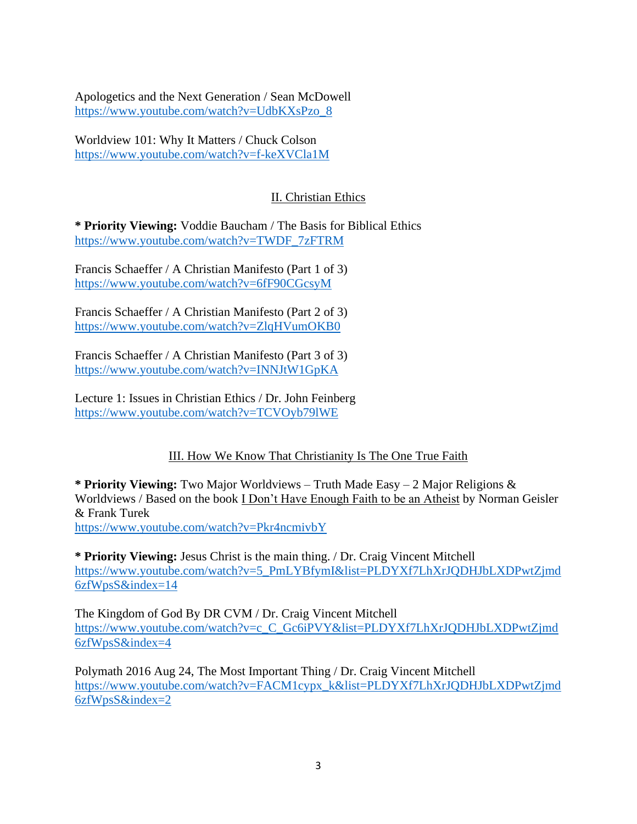Apologetics and the Next Generation / Sean McDowell [https://www.youtube.com/watch?v=UdbKXsPzo\\_8](https://www.youtube.com/watch?v=UdbKXsPzo_8)

Worldview 101: Why It Matters / Chuck Colson <https://www.youtube.com/watch?v=f-keXVCla1M>

# II. Christian Ethics

**\* Priority Viewing:** Voddie Baucham / The Basis for Biblical Ethics [https://www.youtube.com/watch?v=TWDF\\_7zFTRM](https://www.youtube.com/watch?v=TWDF_7zFTRM)

Francis Schaeffer / A Christian Manifesto (Part 1 of 3) <https://www.youtube.com/watch?v=6fF90CGcsyM>

Francis Schaeffer / A Christian Manifesto (Part 2 of 3) <https://www.youtube.com/watch?v=ZlqHVumOKB0>

Francis Schaeffer / A Christian Manifesto (Part 3 of 3) <https://www.youtube.com/watch?v=INNJtW1GpKA>

Lecture 1: Issues in Christian Ethics / Dr. John Feinberg <https://www.youtube.com/watch?v=TCVOyb79lWE>

# III. How We Know That Christianity Is The One True Faith

**\* Priority Viewing:** Two Major Worldviews – Truth Made Easy – 2 Major Religions & Worldviews / Based on the book I Don't Have Enough Faith to be an Atheist by Norman Geisler & Frank Turek <https://www.youtube.com/watch?v=Pkr4ncmivbY>

**\* Priority Viewing:** Jesus Christ is the main thing. / Dr. Craig Vincent Mitchell [https://www.youtube.com/watch?v=5\\_PmLYBfymI&list=PLDYXf7LhXrJQDHJbLXDPwtZjmd](https://www.youtube.com/watch?v=5_PmLYBfymI&list=PLDYXf7LhXrJQDHJbLXDPwtZjmd6zfWpsS&index=14) [6zfWpsS&index=14](https://www.youtube.com/watch?v=5_PmLYBfymI&list=PLDYXf7LhXrJQDHJbLXDPwtZjmd6zfWpsS&index=14)

The Kingdom of God By DR CVM / Dr. Craig Vincent Mitchell [https://www.youtube.com/watch?v=c\\_C\\_Gc6iPVY&list=PLDYXf7LhXrJQDHJbLXDPwtZjmd](https://www.youtube.com/watch?v=c_C_Gc6iPVY&list=PLDYXf7LhXrJQDHJbLXDPwtZjmd6zfWpsS&index=4) [6zfWpsS&index=4](https://www.youtube.com/watch?v=c_C_Gc6iPVY&list=PLDYXf7LhXrJQDHJbLXDPwtZjmd6zfWpsS&index=4)

Polymath 2016 Aug 24, The Most Important Thing / Dr. Craig Vincent Mitchell [https://www.youtube.com/watch?v=FACM1cypx\\_k&list=PLDYXf7LhXrJQDHJbLXDPwtZjmd](https://www.youtube.com/watch?v=FACM1cypx_k&list=PLDYXf7LhXrJQDHJbLXDPwtZjmd6zfWpsS&index=2) [6zfWpsS&index=2](https://www.youtube.com/watch?v=FACM1cypx_k&list=PLDYXf7LhXrJQDHJbLXDPwtZjmd6zfWpsS&index=2)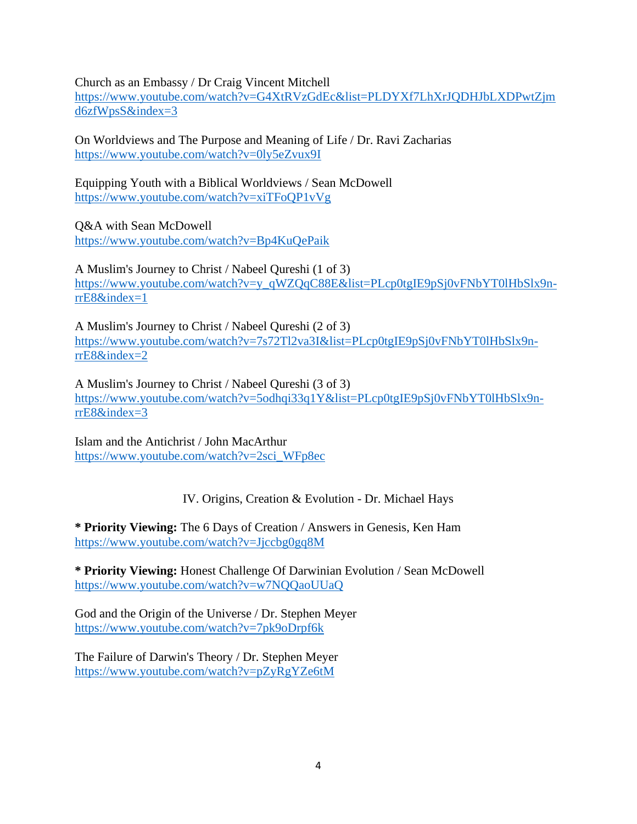Church as an Embassy / Dr Craig Vincent Mitchell

[https://www.youtube.com/watch?v=G4XtRVzGdEc&list=PLDYXf7LhXrJQDHJbLXDPwtZjm](https://www.youtube.com/watch?v=G4XtRVzGdEc&list=PLDYXf7LhXrJQDHJbLXDPwtZjmd6zfWpsS&index=3) [d6zfWpsS&index=3](https://www.youtube.com/watch?v=G4XtRVzGdEc&list=PLDYXf7LhXrJQDHJbLXDPwtZjmd6zfWpsS&index=3)

On Worldviews and The Purpose and Meaning of Life / Dr. Ravi Zacharias <https://www.youtube.com/watch?v=0ly5eZvux9I>

Equipping Youth with a Biblical Worldviews / Sean McDowell <https://www.youtube.com/watch?v=xiTFoQP1vVg>

Q&A with Sean McDowell

<https://www.youtube.com/watch?v=Bp4KuQePaik>

A Muslim's Journey to Christ / Nabeel Qureshi (1 of 3) [https://www.youtube.com/watch?v=y\\_qWZQqC88E&list=PLcp0tgIE9pSj0vFNbYT0lHbSlx9n](https://www.youtube.com/watch?v=y_qWZQqC88E&list=PLcp0tgIE9pSj0vFNbYT0lHbSlx9n-rrE8&index=1)[rrE8&index=1](https://www.youtube.com/watch?v=y_qWZQqC88E&list=PLcp0tgIE9pSj0vFNbYT0lHbSlx9n-rrE8&index=1)

A Muslim's Journey to Christ / Nabeel Qureshi (2 of 3) [https://www.youtube.com/watch?v=7s72Tl2va3I&list=PLcp0tgIE9pSj0vFNbYT0lHbSlx9n](https://www.youtube.com/watch?v=7s72Tl2va3I&list=PLcp0tgIE9pSj0vFNbYT0lHbSlx9n-rrE8&index=2)[rrE8&index=2](https://www.youtube.com/watch?v=7s72Tl2va3I&list=PLcp0tgIE9pSj0vFNbYT0lHbSlx9n-rrE8&index=2)

A Muslim's Journey to Christ / Nabeel Qureshi (3 of 3) [https://www.youtube.com/watch?v=5odhqi33q1Y&list=PLcp0tgIE9pSj0vFNbYT0lHbSlx9n](https://www.youtube.com/watch?v=5odhqi33q1Y&list=PLcp0tgIE9pSj0vFNbYT0lHbSlx9n-rrE8&index=3)[rrE8&index=3](https://www.youtube.com/watch?v=5odhqi33q1Y&list=PLcp0tgIE9pSj0vFNbYT0lHbSlx9n-rrE8&index=3)

Islam and the Antichrist / John MacArthur [https://www.youtube.com/watch?v=2sci\\_WFp8ec](https://www.youtube.com/watch?v=2sci_WFp8ec)

IV. Origins, Creation & Evolution - Dr. Michael Hays

**\* Priority Viewing:** The 6 Days of Creation / Answers in Genesis, Ken Ham <https://www.youtube.com/watch?v=Jjccbg0gq8M>

**\* Priority Viewing:** Honest Challenge Of Darwinian Evolution / Sean McDowell <https://www.youtube.com/watch?v=w7NQQaoUUaQ>

God and the Origin of the Universe / Dr. Stephen Meyer <https://www.youtube.com/watch?v=7pk9oDrpf6k>

The Failure of Darwin's Theory / Dr. Stephen Meyer <https://www.youtube.com/watch?v=pZyRgYZe6tM>